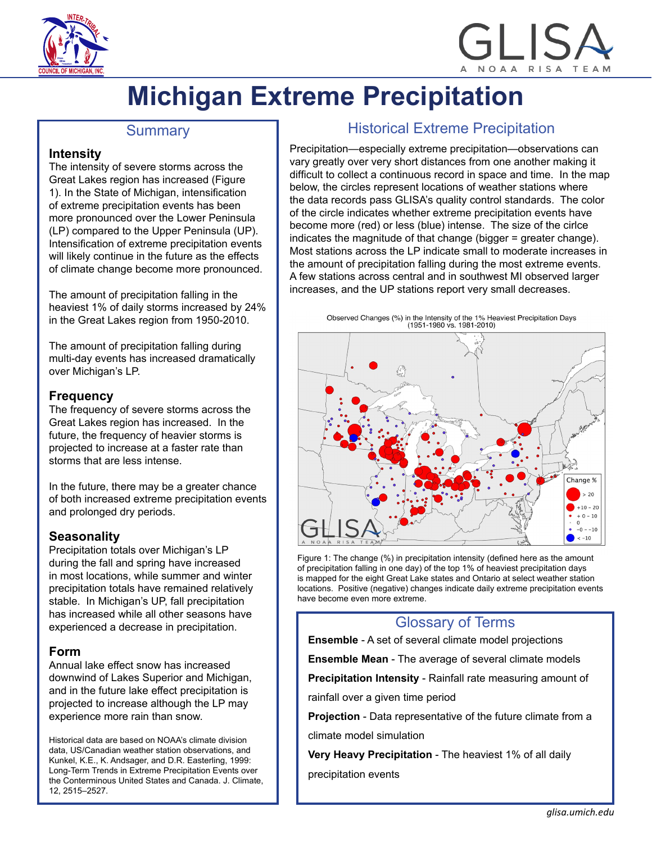

# NOAA RISA

# **Michigan Extreme Precipitation**

## **Summary**

#### **Intensity**

The intensity of severe storms across the Great Lakes region has increased (Figure 1). In the State of Michigan, intensification of extreme precipitation events has been more pronounced over the Lower Peninsula (LP) compared to the Upper Peninsula (UP). Intensification of extreme precipitation events will likely continue in the future as the effects of climate change become more pronounced.

The amount of precipitation falling in the heaviest 1% of daily storms increased by 24% in the Great Lakes region from 1950-2010.

The amount of precipitation falling during multi-day events has increased dramatically over Michigan's LP.

#### **Frequency**

The frequency of severe storms across the Great Lakes region has increased. In the future, the frequency of heavier storms is projected to increase at a faster rate than storms that are less intense.

In the future, there may be a greater chance of both increased extreme precipitation events and prolonged dry periods.

### **Seasonality**

Precipitation totals over Michigan's LP during the fall and spring have increased in most locations, while summer and winter precipitation totals have remained relatively stable. In Michigan's UP, fall precipitation has increased while all other seasons have experienced a decrease in precipitation.

#### **Form**

Annual lake effect snow has increased downwind of Lakes Superior and Michigan, and in the future lake effect precipitation is projected to increase although the LP may experience more rain than snow.

Historical data are based on NOAA's climate division data, US/Canadian weather station observations, and Kunkel, K.E., K. Andsager, and D.R. Easterling, 1999: Long-Term Trends in Extreme Precipitation Events over the Conterminous United States and Canada. J. Climate, 12, 2515–2527.

# Historical Extreme Precipitation

Precipitation—especially extreme precipitation—observations can vary greatly over very short distances from one another making it difficult to collect a continuous record in space and time. In the map below, the circles represent locations of weather stations where the data records pass GLISA's quality control standards. The color of the circle indicates whether extreme precipitation events have become more (red) or less (blue) intense. The size of the cirlce indicates the magnitude of that change (bigger = greater change). Most stations across the LP indicate small to moderate increases in the amount of precipitation falling during the most extreme events. A few stations across central and in southwest MI observed larger increases, and the UP stations report very small decreases.



Figure 1: The change (%) in precipitation intensity (defined here as the amount of precipitation falling in one day) of the top 1% of heaviest precipitation days is mapped for the eight Great Lake states and Ontario at select weather station locations. Positive (negative) changes indicate daily extreme precipitation events have become even more extreme.

# Glossary of Terms

**Ensemble** - A set of several climate model projections

**Ensemble Mean** - The average of several climate models

**Precipitation Intensity** - Rainfall rate measuring amount of

rainfall over a given time period

**Projection** - Data representative of the future climate from a climate model simulation

**Very Heavy Precipitation** - The heaviest 1% of all daily

precipitation events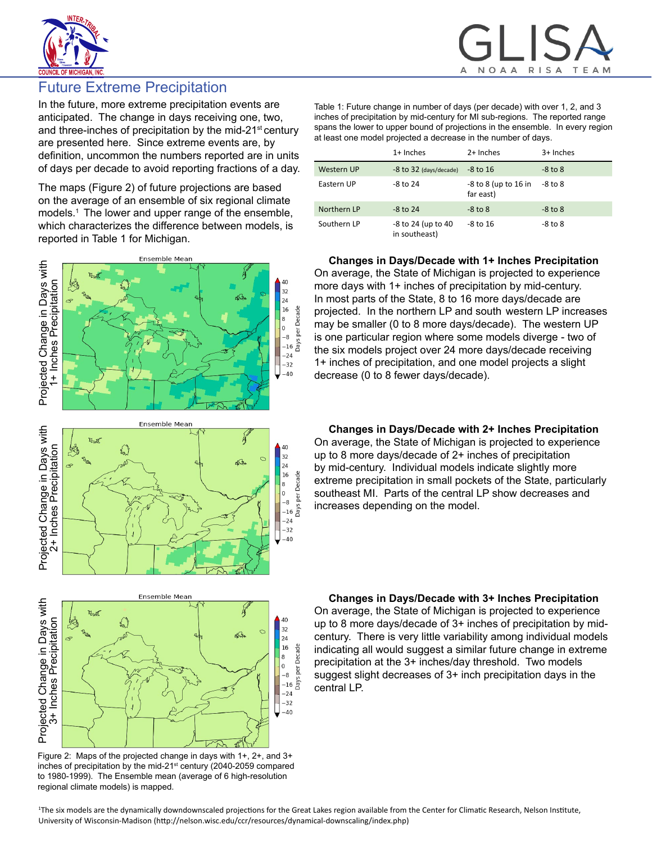



# Future Extreme Precipitation

In the future, more extreme precipitation events are anticipated. The change in days receiving one, two, and three-inches of precipitation by the mid-21<sup>st</sup> century are presented here. Since extreme events are, by definition, uncommon the numbers reported are in units of days per decade to avoid reporting fractions of a day.

The maps (Figure 2) of future projections are based on the average of an ensemble of six regional climate models.<sup>1</sup> The lower and upper range of the ensemble, which characterizes the difference between models, is reported in Table 1 for Michigan.





Table 1: Future change in number of days (per decade) with over 1, 2, and 3 inches of precipitation by mid-century for MI sub-regions. The reported range spans the lower to upper bound of projections in the ensemble. In every region at least one model projected a decrease in the number of days.

|             | $1+$ Inches                         | 2+ Inches                               | 3+ Inches   |
|-------------|-------------------------------------|-----------------------------------------|-------------|
| Western UP  | -8 to 32 (days/decade)              | $-8$ to 16                              | $-8$ to $8$ |
| Eastern UP  | $-8$ to 24                          | $-8$ to $8$ (up to $16$ in<br>far east) | $-8$ to $8$ |
| Northern LP | $-8$ to 24                          | $-8$ to $8$                             | $-8$ to $8$ |
| Southern LP | -8 to 24 (up to 40<br>in southeast) | $-8$ to 16                              | $-8$ to $8$ |

**Changes in Days/Decade with 1+ Inches Precipitation** On average, the State of Michigan is projected to experience more days with 1+ inches of precipitation by mid-century. In most parts of the State, 8 to 16 more days/decade are projected. In the northern LP and south western LP increases may be smaller (0 to 8 more days/decade). The western UP is one particular region where some models diverge - two of the six models project over 24 more days/decade receiving 1+ inches of precipitation, and one model projects a slight decrease (0 to 8 fewer days/decade).

**Changes in Days/Decade with 2+ Inches Precipitation** On average, the State of Michigan is projected to experience up to 8 more days/decade of 2+ inches of precipitation by mid-century. Individual models indicate slightly more extreme precipitation in small pockets of the State, particularly

southeast MI. Parts of the central LP show decreases and

increases depending on the model.

**Changes in Days/Decade with 3+ Inches Precipitation** On average, the State of Michigan is projected to experience up to 8 more days/decade of 3+ inches of precipitation by midcentury. There is very little variability among individual models indicating all would suggest a similar future change in extreme precipitation at the 3+ inches/day threshold. Two models suggest slight decreases of 3+ inch precipitation days in the central LP.

Figure 2: Maps of the projected change in days with 1+, 2+, and 3+ inches of precipitation by the mid-21<sup>st</sup> century (2040-2059 compared to 1980-1999). The Ensemble mean (average of 6 high-resolution regional climate models) is mapped.

Projected Change in Days with 3+ Inches Precipitation

1 The six models are the dynamically downdownscaled projections for the Great Lakes region available from the Center for Climatic Research, Nelson Institute, University of Wisconsin-Madison (http://nelson.wisc.edu/ccr/resources/dynamical-downscaling/index.php)

Days per Decade  $\bf{8}$  $\,$  O  $-8$  $-16$  $-24$  $-32$  $-40$